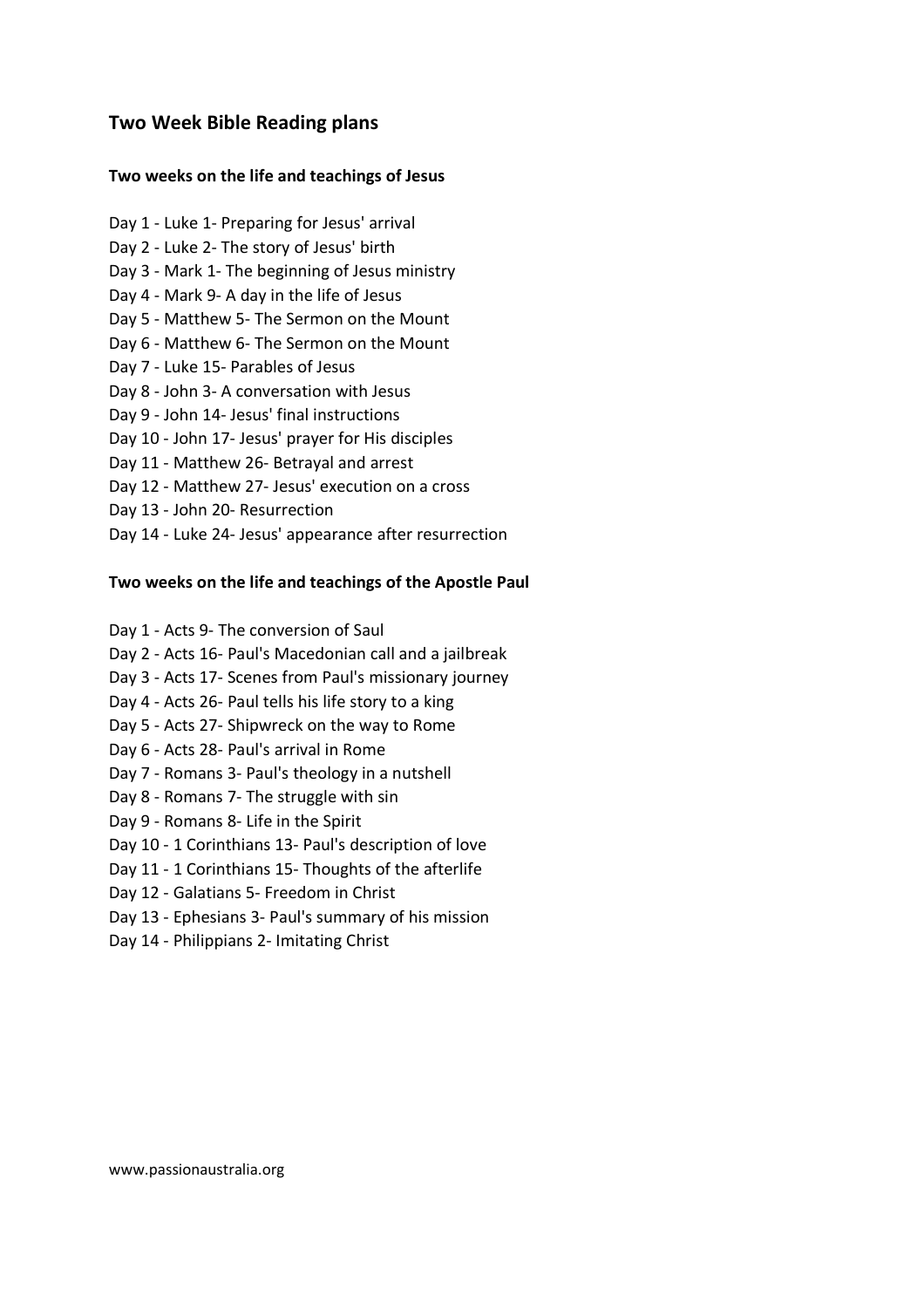## **Two weeks on the life and teachings of Jesus**

- Day 1 Luke 1- Preparing for Jesus' arrival Day 2 - Luke 2- The story of Jesus' birth Day 3 - Mark 1- The beginning of Jesus ministry Day 4 - Mark 9- A day in the life of Jesus Day 5 - Matthew 5- The Sermon on the Mount Day 6 - Matthew 6- The Sermon on the Mount Day 7 - Luke 15- Parables of Jesus Day 8 - John 3- A conversation with Jesus Day 9 - John 14- Jesus' final instructions Day 10 - John 17- Jesus' prayer for His disciples Day 11 - Matthew 26- Betrayal and arrest Day 12 - Matthew 27- Jesus' execution on a cross
- Day 13 John 20- Resurrection
- Day 14 Luke 24- Jesus' appearance after resurrection

#### **Two weeks on the life and teachings of the Apostle Paul**

- Day 1 Acts 9- The conversion of Saul
- Day 2 Acts 16- Paul's Macedonian call and a jailbreak
- Day 3 Acts 17- Scenes from Paul's missionary journey
- Day 4 Acts 26- Paul tells his life story to a king
- Day 5 Acts 27- Shipwreck on the way to Rome
- Day 6 Acts 28- Paul's arrival in Rome
- Day 7 Romans 3- Paul's theology in a nutshell
- Day 8 Romans 7- The struggle with sin
- Day 9 Romans 8- Life in the Spirit
- Day 10 1 Corinthians 13- Paul's description of love
- Day 11 1 Corinthians 15- Thoughts of the afterlife
- Day 12 Galatians 5- Freedom in Christ
- Day 13 Ephesians 3- Paul's summary of his mission
- Day 14 Philippians 2- Imitating Christ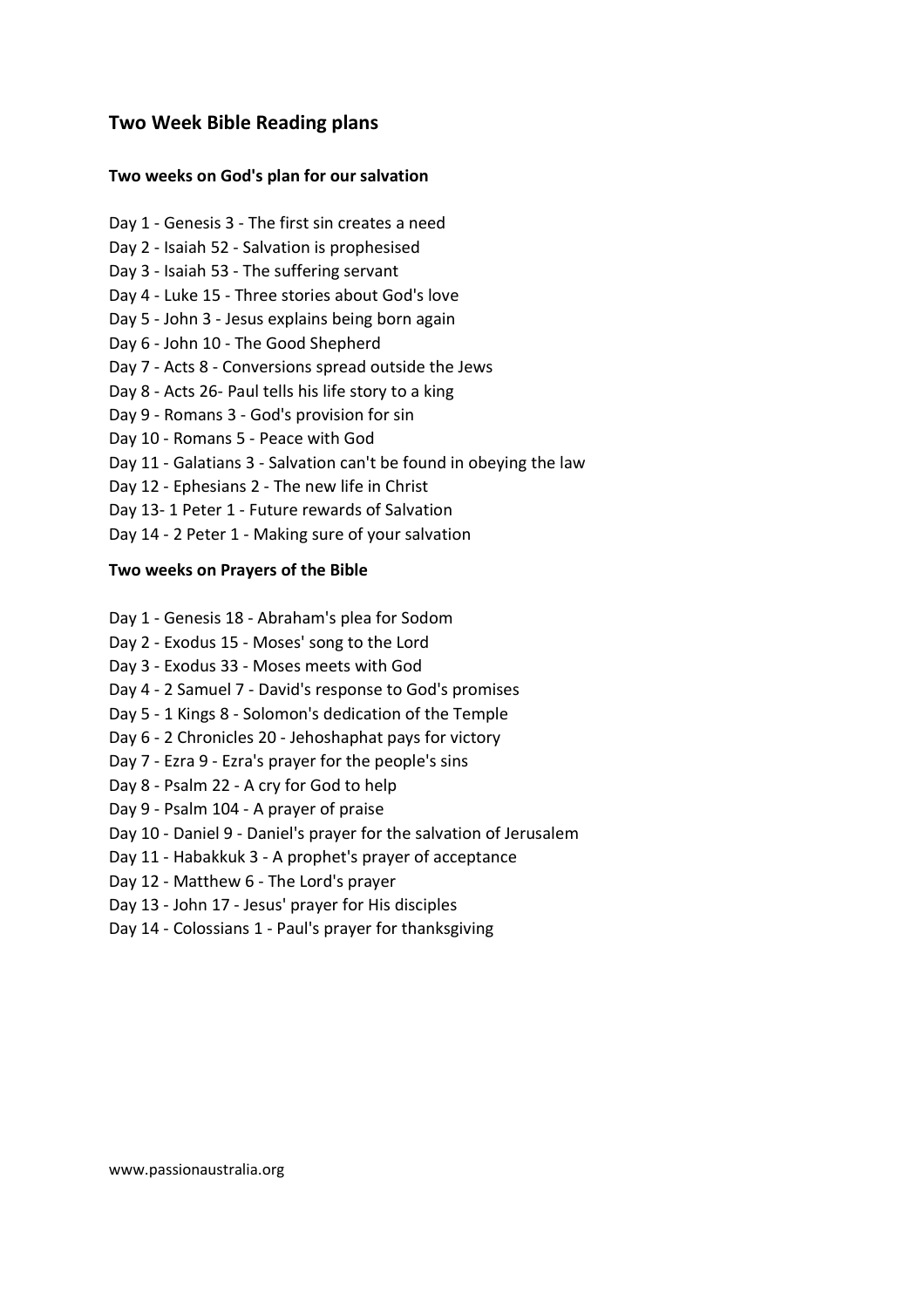## **Two weeks on God's plan for our salvation**

- Day 1 Genesis 3 The first sin creates a need Day 2 - Isaiah 52 - Salvation is prophesised Day 3 - Isaiah 53 - The suffering servant Day 4 - Luke 15 - Three stories about God's love Day 5 - John 3 - Jesus explains being born again Day 6 - John 10 - The Good Shepherd Day 7 - Acts 8 - Conversions spread outside the Jews Day 8 - Acts 26- Paul tells his life story to a king Day 9 - Romans 3 - God's provision for sin Day 10 - Romans 5 - Peace with God Day 11 - Galatians 3 - Salvation can't be found in obeying the law Day 12 - Ephesians 2 - The new life in Christ Day 13- 1 Peter 1 - Future rewards of Salvation
- Day 14 2 Peter 1 Making sure of your salvation

#### **Two weeks on Prayers of the Bible**

- Day 1 Genesis 18 Abraham's plea for Sodom
- Day 2 Exodus 15 Moses' song to the Lord
- Day 3 Exodus 33 Moses meets with God
- Day 4 2 Samuel 7 David's response to God's promises
- Day 5 1 Kings 8 Solomon's dedication of the Temple
- Day 6 2 Chronicles 20 Jehoshaphat pays for victory
- Day 7 Ezra 9 Ezra's prayer for the people's sins
- Day 8 Psalm 22 A cry for God to help
- Day 9 Psalm 104 A prayer of praise
- Day 10 Daniel 9 Daniel's prayer for the salvation of Jerusalem
- Day 11 Habakkuk 3 A prophet's prayer of acceptance
- Day 12 Matthew 6 The Lord's prayer
- Day 13 John 17 Jesus' prayer for His disciples
- Day 14 Colossians 1 Paul's prayer for thanksgiving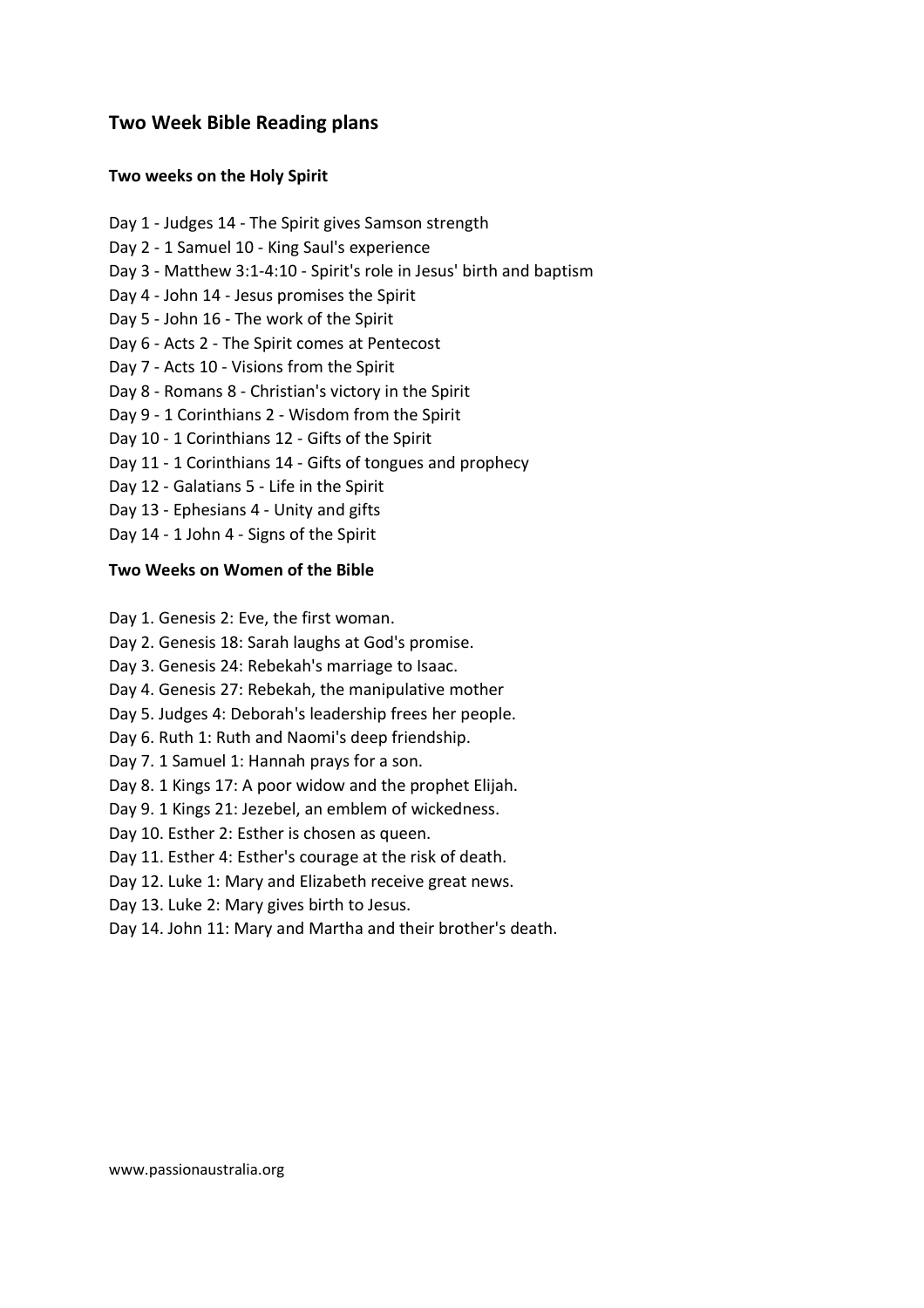## **Two weeks on the Holy Spirit**

- Day 1 Judges 14 The Spirit gives Samson strength Day 2 - 1 Samuel 10 - King Saul's experience Day 3 - Matthew 3:1-4:10 - Spirit's role in Jesus' birth and baptism Day 4 - John 14 - Jesus promises the Spirit Day 5 - John 16 - The work of the Spirit Day 6 - Acts 2 - The Spirit comes at Pentecost Day 7 - Acts 10 - Visions from the Spirit Day 8 - Romans 8 - Christian's victory in the Spirit Day 9 - 1 Corinthians 2 - Wisdom from the Spirit Day 10 - 1 Corinthians 12 - Gifts of the Spirit Day 11 - 1 Corinthians 14 - Gifts of tongues and prophecy Day 12 - Galatians 5 - Life in the Spirit Day 13 - Ephesians 4 - Unity and gifts
- Day 14 1 John 4 Signs of the Spirit

## **Two Weeks on Women of the Bible**

- Day 1. Genesis 2: Eve, the first woman.
- Day 2. Genesis 18: Sarah laughs at God's promise.
- Day 3. Genesis 24: Rebekah's marriage to Isaac.
- Day 4. Genesis 27: Rebekah, the manipulative mother
- Day 5. Judges 4: Deborah's leadership frees her people.
- Day 6. Ruth 1: Ruth and Naomi's deep friendship.
- Day 7. 1 Samuel 1: Hannah prays for a son.
- Day 8. 1 Kings 17: A poor widow and the prophet Elijah.
- Day 9. 1 Kings 21: Jezebel, an emblem of wickedness.
- Day 10. Esther 2: Esther is chosen as queen.
- Day 11. Esther 4: Esther's courage at the risk of death.
- Day 12. Luke 1: Mary and Elizabeth receive great news.
- Day 13. Luke 2: Mary gives birth to Jesus.
- Day 14. John 11: Mary and Martha and their brother's death.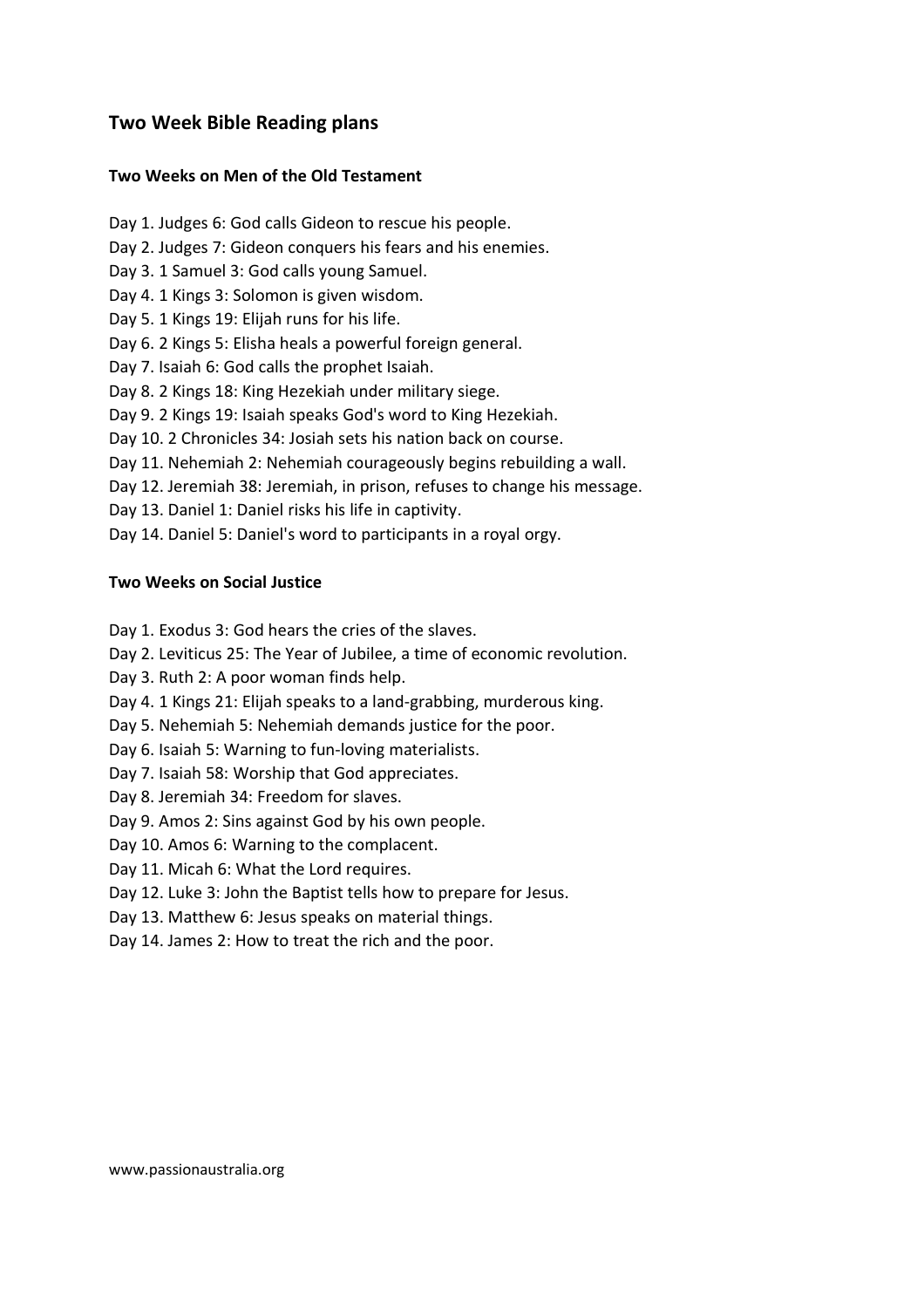## **Two Weeks on Men of the Old Testament**

- Day 1. Judges 6: God calls Gideon to rescue his people.
- Day 2. Judges 7: Gideon conquers his fears and his enemies.
- Day 3. 1 Samuel 3: God calls young Samuel.
- Day 4. 1 Kings 3: Solomon is given wisdom.
- Day 5. 1 Kings 19: Elijah runs for his life.
- Day 6. 2 Kings 5: Elisha heals a powerful foreign general.
- Day 7. Isaiah 6: God calls the prophet Isaiah.
- Day 8. 2 Kings 18: King Hezekiah under military siege.
- Day 9. 2 Kings 19: Isaiah speaks God's word to King Hezekiah.
- Day 10. 2 Chronicles 34: Josiah sets his nation back on course.
- Day 11. Nehemiah 2: Nehemiah courageously begins rebuilding a wall.
- Day 12. Jeremiah 38: Jeremiah, in prison, refuses to change his message.
- Day 13. Daniel 1: Daniel risks his life in captivity.
- Day 14. Daniel 5: Daniel's word to participants in a royal orgy.

## **Two Weeks on Social Justice**

- Day 1. Exodus 3: God hears the cries of the slaves.
- Day 2. Leviticus 25: The Year of Jubilee, a time of economic revolution.
- Day 3. Ruth 2: A poor woman finds help.
- Day 4. 1 Kings 21: Elijah speaks to a land-grabbing, murderous king.
- Day 5. Nehemiah 5: Nehemiah demands justice for the poor.
- Day 6. Isaiah 5: Warning to fun-loving materialists.
- Day 7. Isaiah 58: Worship that God appreciates.
- Day 8. Jeremiah 34: Freedom for slaves.
- Day 9. Amos 2: Sins against God by his own people.
- Day 10. Amos 6: Warning to the complacent.
- Day 11. Micah 6: What the Lord requires.
- Day 12. Luke 3: John the Baptist tells how to prepare for Jesus.
- Day 13. Matthew 6: Jesus speaks on material things.
- Day 14. James 2: How to treat the rich and the poor.